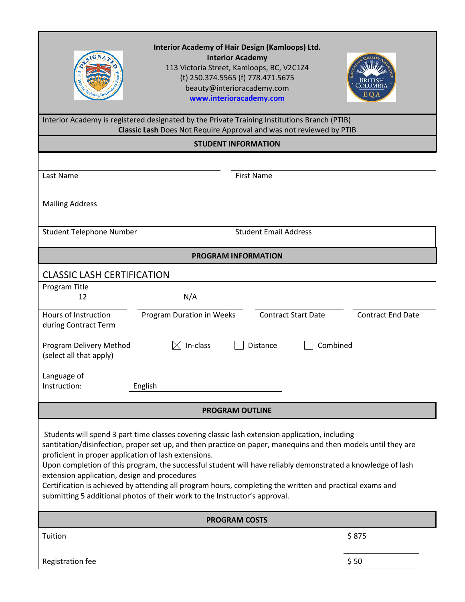| Interior Academy of Hair Design (Kamloops) Ltd.<br><b>Interior Academy</b><br>113 Victoria Street, Kamloops, BC, V2C1Z4<br>(t) 250.374.5565 (f) 778.471.5675<br>beauty@interioracademy.com<br>E O.<br>www.interioracademy.com                                                                                                                                                                                                                                                                                                                                                                                                    |                                                        |  |
|----------------------------------------------------------------------------------------------------------------------------------------------------------------------------------------------------------------------------------------------------------------------------------------------------------------------------------------------------------------------------------------------------------------------------------------------------------------------------------------------------------------------------------------------------------------------------------------------------------------------------------|--------------------------------------------------------|--|
| Interior Academy is registered designated by the Private Training Institutions Branch (PTIB)<br>Classic Lash Does Not Require Approval and was not reviewed by PTIB                                                                                                                                                                                                                                                                                                                                                                                                                                                              |                                                        |  |
| <b>STUDENT INFORMATION</b>                                                                                                                                                                                                                                                                                                                                                                                                                                                                                                                                                                                                       |                                                        |  |
| Last Name<br><b>First Name</b>                                                                                                                                                                                                                                                                                                                                                                                                                                                                                                                                                                                                   |                                                        |  |
| <b>Mailing Address</b>                                                                                                                                                                                                                                                                                                                                                                                                                                                                                                                                                                                                           |                                                        |  |
| <b>Student Telephone Number</b>                                                                                                                                                                                                                                                                                                                                                                                                                                                                                                                                                                                                  | <b>Student Email Address</b>                           |  |
| <b>PROGRAM INFORMATION</b>                                                                                                                                                                                                                                                                                                                                                                                                                                                                                                                                                                                                       |                                                        |  |
| <b>CLASSIC LASH CERTIFICATION</b>                                                                                                                                                                                                                                                                                                                                                                                                                                                                                                                                                                                                |                                                        |  |
| Program Title<br>N/A<br>12                                                                                                                                                                                                                                                                                                                                                                                                                                                                                                                                                                                                       |                                                        |  |
| Hours of Instruction<br>Program Duration in Weeks<br>during Contract Term                                                                                                                                                                                                                                                                                                                                                                                                                                                                                                                                                        | <b>Contract Start Date</b><br><b>Contract End Date</b> |  |
| $\boxtimes$ In-class<br>Program Delivery Method<br>Distance<br>(select all that apply)                                                                                                                                                                                                                                                                                                                                                                                                                                                                                                                                           | Combined                                               |  |
| Language of<br>Instruction:<br>English                                                                                                                                                                                                                                                                                                                                                                                                                                                                                                                                                                                           |                                                        |  |
| <b>PROGRAM OUTLINE</b>                                                                                                                                                                                                                                                                                                                                                                                                                                                                                                                                                                                                           |                                                        |  |
| Students will spend 3 part time classes covering classic lash extension application, including<br>santitation/disinfection, proper set up, and then practice on paper, manequins and then models until they are<br>proficient in proper application of lash extensions.<br>Upon completion of this program, the successful student will have reliably demonstrated a knowledge of lash<br>extension application, design and procedures<br>Certification is achieved by attending all program hours, completing the written and practical exams and<br>submitting 5 additional photos of their work to the Instructor's approval. |                                                        |  |
| <b>PROGRAM COSTS</b>                                                                                                                                                                                                                                                                                                                                                                                                                                                                                                                                                                                                             |                                                        |  |
| Tuition                                                                                                                                                                                                                                                                                                                                                                                                                                                                                                                                                                                                                          | \$875                                                  |  |
| Registration fee                                                                                                                                                                                                                                                                                                                                                                                                                                                                                                                                                                                                                 | \$50                                                   |  |